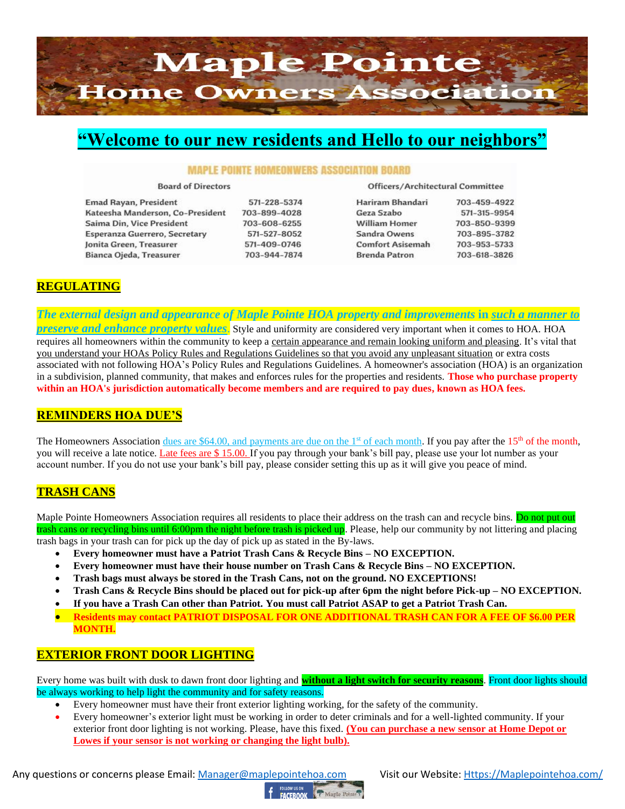

# **"Welcome to our new residents and Hello to our neighbors"**

#### **MAPLE POINTE HOMEONWERS ASSOCIATION BOARD**

**Board of Directors** 

**Emad Rayan, President** Kateesha Manderson, Co-President Saima Din, Vice President Esperanza Guerrero, Secretary Jonita Green, Treasurer Bianca Ojeda, Treasurer

571-228-5374 703-899-4028 703-608-6255 571-527-8052 571-409-0746 703-944-7874 Officers/Architectural Committee

| Hariram Bhandari        | 703-459-4922 |
|-------------------------|--------------|
| Geza Szabo              | 571-315-9954 |
| <b>William Homer</b>    | 703-850-9399 |
| Sandra Owens            | 703-895-3782 |
| <b>Comfort Asisemah</b> | 703-953-5733 |
| <b>Brenda Patron</b>    | 703-618-3826 |

# **REGULATING**

*The external design and appearance of Maple Pointe HOA property and improvements* **in** *such a manner to* 

*preserve and enhance property values*. Style and uniformity are considered very important when it comes to HOA. HOA requires all homeowners within the community to keep a certain appearance and remain looking uniform and pleasing. It's vital that you understand your HOAs Policy Rules and Regulations Guidelines so that you avoid any unpleasant situation or extra costs associated with not following HOA's Policy Rules and Regulations Guidelines. A homeowner's association (HOA) is an organization in a subdivision, planned community, that makes and enforces rules for the properties and residents. **Those who purchase property within an HOA's jurisdiction automatically become members and are required to pay dues, known as HOA fees.**

# **REMINDERS HOA DUE'S**

The Homeowners Association dues are \$64.00, and payments are due on the  $1<sup>st</sup>$  of each month. If you pay after the  $15<sup>th</sup>$  of the month, you will receive a late notice. Late fees are \$ 15.00. If you pay through your bank's bill pay, please use your lot number as your account number. If you do not use your bank's bill pay, please consider setting this up as it will give you peace of mind.

# **TRASH CANS**

Maple Pointe Homeowners Association requires all residents to place their address on the trash can and recycle bins. Do not put out trash cans or recycling bins until 6:00pm the night before trash is picked up. Please, help our community by not littering and placing trash bags in your trash can for pick up the day of pick up as stated in the By-laws.

- **Every homeowner must have a Patriot Trash Cans & Recycle Bins – NO EXCEPTION.**
- **Every homeowner must have their house number on Trash Cans & Recycle Bins – NO EXCEPTION.**
- **Trash bags must always be stored in the Trash Cans, not on the ground. NO EXCEPTIONS!**
- **Trash Cans & Recycle Bins should be placed out for pick-up after 6pm the night before Pick-up – NO EXCEPTION.**
- **If you have a Trash Can other than Patriot. You must call Patriot ASAP to get a Patriot Trash Can.**
- **Residents may contact PATRIOT DISPOSAL FOR ONE ADDITIONAL TRASH CAN FOR A FEE OF \$6.00 PER MONTH.**

# **EXTERIOR FRONT DOOR LIGHTING**

Every home was built with dusk to dawn front door lighting and **without a light switch for security reasons**. Front door lights should be always working to help light the community and for safety reasons.

- Every homeowner must have their front exterior lighting working, for the safety of the community.
- Every homeowner's exterior light must be working in order to deter criminals and for a well-lighted community. If your exterior front door lighting is not working. Please, have this fixed. **(You can purchase a new sensor at Home Depot or Lowes if your sensor is not working or changing the light bulb).**

Any questions or concerns please Email: [Manager@maplepointehoa.com](mailto:Manager@maplepointehoa.com) Visit our Website: Https://Maplepointehoa.com/